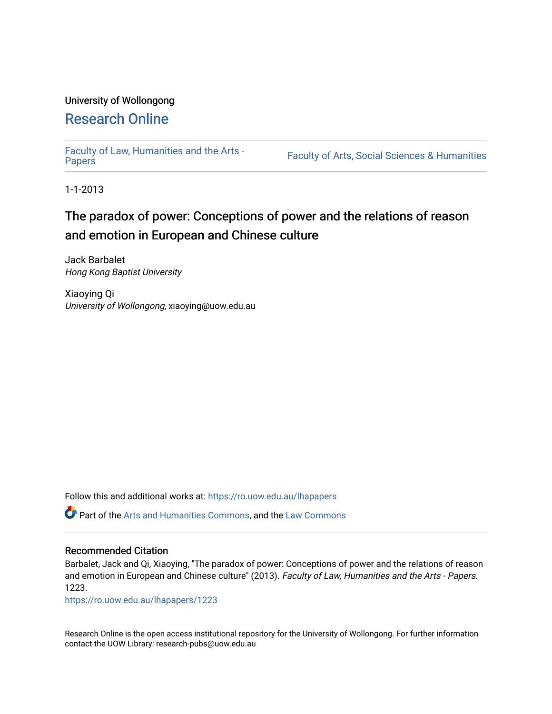# University of Wollongong [Research Online](https://ro.uow.edu.au/)

[Faculty of Law, Humanities and the Arts -](https://ro.uow.edu.au/lhapapers)

Faculty of Arts, Social Sciences & Humanities

1-1-2013

# The paradox of power: Conceptions of power and the relations of reason and emotion in European and Chinese culture

Jack Barbalet Hong Kong Baptist University

Xiaoying Qi University of Wollongong, xiaoying@uow.edu.au

Follow this and additional works at: [https://ro.uow.edu.au/lhapapers](https://ro.uow.edu.au/lhapapers?utm_source=ro.uow.edu.au%2Flhapapers%2F1223&utm_medium=PDF&utm_campaign=PDFCoverPages) 

Part of the [Arts and Humanities Commons,](http://network.bepress.com/hgg/discipline/438?utm_source=ro.uow.edu.au%2Flhapapers%2F1223&utm_medium=PDF&utm_campaign=PDFCoverPages) and the [Law Commons](http://network.bepress.com/hgg/discipline/578?utm_source=ro.uow.edu.au%2Flhapapers%2F1223&utm_medium=PDF&utm_campaign=PDFCoverPages) 

#### Recommended Citation

Barbalet, Jack and Qi, Xiaoying, "The paradox of power: Conceptions of power and the relations of reason and emotion in European and Chinese culture" (2013). Faculty of Law, Humanities and the Arts - Papers. 1223.

[https://ro.uow.edu.au/lhapapers/1223](https://ro.uow.edu.au/lhapapers/1223?utm_source=ro.uow.edu.au%2Flhapapers%2F1223&utm_medium=PDF&utm_campaign=PDFCoverPages)

Research Online is the open access institutional repository for the University of Wollongong. For further information contact the UOW Library: research-pubs@uow.edu.au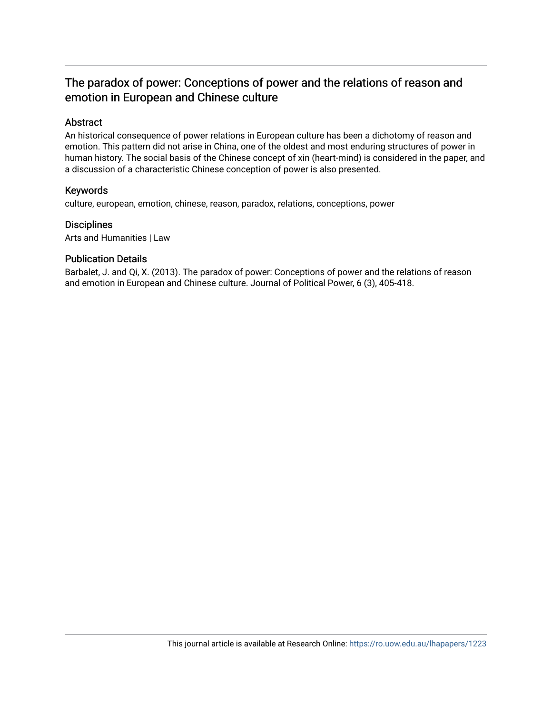# The paradox of power: Conceptions of power and the relations of reason and emotion in European and Chinese culture

# Abstract

An historical consequence of power relations in European culture has been a dichotomy of reason and emotion. This pattern did not arise in China, one of the oldest and most enduring structures of power in human history. The social basis of the Chinese concept of xin (heart-mind) is considered in the paper, and a discussion of a characteristic Chinese conception of power is also presented.

# Keywords

culture, european, emotion, chinese, reason, paradox, relations, conceptions, power

# **Disciplines**

Arts and Humanities | Law

## Publication Details

Barbalet, J. and Qi, X. (2013). The paradox of power: Conceptions of power and the relations of reason and emotion in European and Chinese culture. Journal of Political Power, 6 (3), 405-418.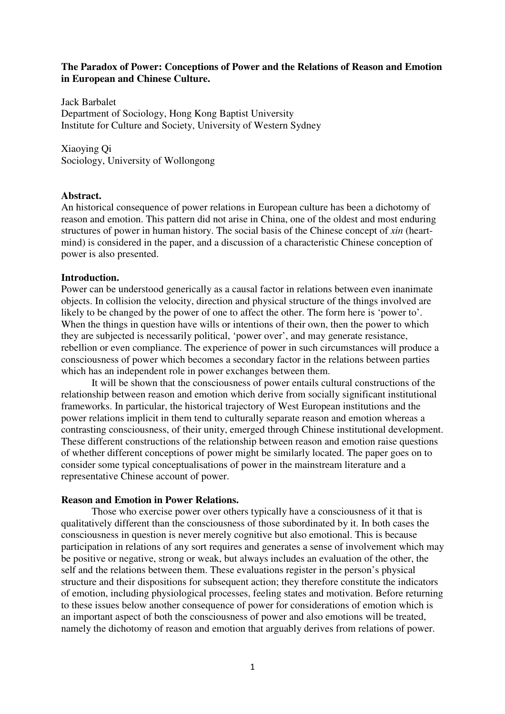## **The Paradox of Power: Conceptions of Power and the Relations of Reason and Emotion in European and Chinese Culture.**

Jack Barbalet Department of Sociology, Hong Kong Baptist University Institute for Culture and Society, University of Western Sydney

Xiaoying Qi Sociology, University of Wollongong

#### **Abstract.**

An historical consequence of power relations in European culture has been a dichotomy of reason and emotion. This pattern did not arise in China, one of the oldest and most enduring structures of power in human history. The social basis of the Chinese concept of *xin* (heartmind) is considered in the paper, and a discussion of a characteristic Chinese conception of power is also presented.

## **Introduction.**

Power can be understood generically as a causal factor in relations between even inanimate objects. In collision the velocity, direction and physical structure of the things involved are likely to be changed by the power of one to affect the other. The form here is 'power to'. When the things in question have wills or intentions of their own, then the power to which they are subjected is necessarily political, 'power over', and may generate resistance, rebellion or even compliance. The experience of power in such circumstances will produce a consciousness of power which becomes a secondary factor in the relations between parties which has an independent role in power exchanges between them.

 It will be shown that the consciousness of power entails cultural constructions of the relationship between reason and emotion which derive from socially significant institutional frameworks. In particular, the historical trajectory of West European institutions and the power relations implicit in them tend to culturally separate reason and emotion whereas a contrasting consciousness, of their unity, emerged through Chinese institutional development. These different constructions of the relationship between reason and emotion raise questions of whether different conceptions of power might be similarly located. The paper goes on to consider some typical conceptualisations of power in the mainstream literature and a representative Chinese account of power.

#### **Reason and Emotion in Power Relations.**

Those who exercise power over others typically have a consciousness of it that is qualitatively different than the consciousness of those subordinated by it. In both cases the consciousness in question is never merely cognitive but also emotional. This is because participation in relations of any sort requires and generates a sense of involvement which may be positive or negative, strong or weak, but always includes an evaluation of the other, the self and the relations between them. These evaluations register in the person's physical structure and their dispositions for subsequent action; they therefore constitute the indicators of emotion, including physiological processes, feeling states and motivation. Before returning to these issues below another consequence of power for considerations of emotion which is an important aspect of both the consciousness of power and also emotions will be treated, namely the dichotomy of reason and emotion that arguably derives from relations of power.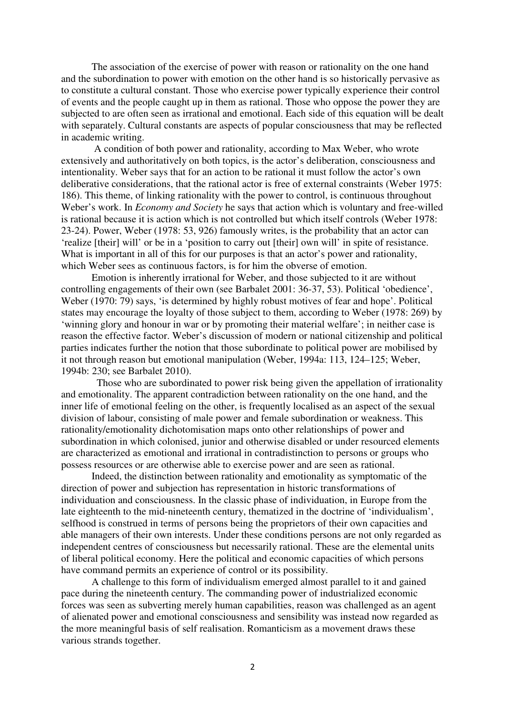The association of the exercise of power with reason or rationality on the one hand and the subordination to power with emotion on the other hand is so historically pervasive as to constitute a cultural constant. Those who exercise power typically experience their control of events and the people caught up in them as rational. Those who oppose the power they are subjected to are often seen as irrational and emotional. Each side of this equation will be dealt with separately. Cultural constants are aspects of popular consciousness that may be reflected in academic writing.

 A condition of both power and rationality, according to Max Weber, who wrote extensively and authoritatively on both topics, is the actor's deliberation, consciousness and intentionality. Weber says that for an action to be rational it must follow the actor's own deliberative considerations, that the rational actor is free of external constraints (Weber 1975: 186). This theme, of linking rationality with the power to control, is continuous throughout Weber's work. In *Economy and Society* he says that action which is voluntary and free-willed is rational because it is action which is not controlled but which itself controls (Weber 1978: 23-24). Power, Weber (1978: 53, 926) famously writes, is the probability that an actor can 'realize [their] will' or be in a 'position to carry out [their] own will' in spite of resistance. What is important in all of this for our purposes is that an actor's power and rationality, which Weber sees as continuous factors, is for him the obverse of emotion.

Emotion is inherently irrational for Weber, and those subjected to it are without controlling engagements of their own (see Barbalet 2001: 36-37, 53). Political 'obedience', Weber (1970: 79) says, 'is determined by highly robust motives of fear and hope'. Political states may encourage the loyalty of those subject to them, according to Weber (1978: 269) by 'winning glory and honour in war or by promoting their material welfare'; in neither case is reason the effective factor. Weber's discussion of modern or national citizenship and political parties indicates further the notion that those subordinate to political power are mobilised by it not through reason but emotional manipulation (Weber, 1994a: 113, 124–125; Weber, 1994b: 230; see Barbalet 2010).

 Those who are subordinated to power risk being given the appellation of irrationality and emotionality. The apparent contradiction between rationality on the one hand, and the inner life of emotional feeling on the other, is frequently localised as an aspect of the sexual division of labour, consisting of male power and female subordination or weakness. This rationality/emotionality dichotomisation maps onto other relationships of power and subordination in which colonised, junior and otherwise disabled or under resourced elements are characterized as emotional and irrational in contradistinction to persons or groups who possess resources or are otherwise able to exercise power and are seen as rational.

 Indeed, the distinction between rationality and emotionality as symptomatic of the direction of power and subjection has representation in historic transformations of individuation and consciousness. In the classic phase of individuation, in Europe from the late eighteenth to the mid-nineteenth century, thematized in the doctrine of 'individualism', selfhood is construed in terms of persons being the proprietors of their own capacities and able managers of their own interests. Under these conditions persons are not only regarded as independent centres of consciousness but necessarily rational. These are the elemental units of liberal political economy. Here the political and economic capacities of which persons have command permits an experience of control or its possibility.

 A challenge to this form of individualism emerged almost parallel to it and gained pace during the nineteenth century. The commanding power of industrialized economic forces was seen as subverting merely human capabilities, reason was challenged as an agent of alienated power and emotional consciousness and sensibility was instead now regarded as the more meaningful basis of self realisation. Romanticism as a movement draws these various strands together.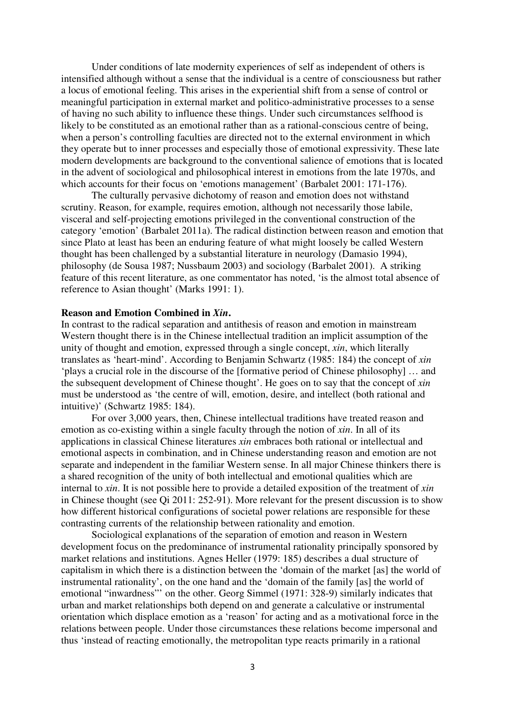Under conditions of late modernity experiences of self as independent of others is intensified although without a sense that the individual is a centre of consciousness but rather a locus of emotional feeling. This arises in the experiential shift from a sense of control or meaningful participation in external market and politico-administrative processes to a sense of having no such ability to influence these things. Under such circumstances selfhood is likely to be constituted as an emotional rather than as a rational-conscious centre of being, when a person's controlling faculties are directed not to the external environment in which they operate but to inner processes and especially those of emotional expressivity. These late modern developments are background to the conventional salience of emotions that is located in the advent of sociological and philosophical interest in emotions from the late 1970s, and which accounts for their focus on 'emotions management' (Barbalet 2001: 171-176).

 The culturally pervasive dichotomy of reason and emotion does not withstand scrutiny. Reason, for example, requires emotion, although not necessarily those labile, visceral and self-projecting emotions privileged in the conventional construction of the category 'emotion' (Barbalet 2011a). The radical distinction between reason and emotion that since Plato at least has been an enduring feature of what might loosely be called Western thought has been challenged by a substantial literature in neurology (Damasio 1994), philosophy (de Sousa 1987; Nussbaum 2003) and sociology (Barbalet 2001). A striking feature of this recent literature, as one commentator has noted, 'is the almost total absence of reference to Asian thought' (Marks 1991: 1).

#### **Reason and Emotion Combined in** *Xin***.**

In contrast to the radical separation and antithesis of reason and emotion in mainstream Western thought there is in the Chinese intellectual tradition an implicit assumption of the unity of thought and emotion, expressed through a single concept, *xin*, which literally translates as 'heart-mind'. According to Benjamin Schwartz (1985: 184) the concept of *xin* 'plays a crucial role in the discourse of the [formative period of Chinese philosophy] … and the subsequent development of Chinese thought'. He goes on to say that the concept of *xin* must be understood as 'the centre of will, emotion, desire, and intellect (both rational and intuitive)' (Schwartz 1985: 184).

For over 3,000 years, then, Chinese intellectual traditions have treated reason and emotion as co-existing within a single faculty through the notion of *xin*. In all of its applications in classical Chinese literatures *xin* embraces both rational or intellectual and emotional aspects in combination, and in Chinese understanding reason and emotion are not separate and independent in the familiar Western sense. In all major Chinese thinkers there is a shared recognition of the unity of both intellectual and emotional qualities which are internal to *xin*. It is not possible here to provide a detailed exposition of the treatment of *xin* in Chinese thought (see Qi 2011: 252-91). More relevant for the present discussion is to show how different historical configurations of societal power relations are responsible for these contrasting currents of the relationship between rationality and emotion.

Sociological explanations of the separation of emotion and reason in Western development focus on the predominance of instrumental rationality principally sponsored by market relations and institutions. Agnes Heller (1979: 185) describes a dual structure of capitalism in which there is a distinction between the 'domain of the market [as] the world of instrumental rationality', on the one hand and the 'domain of the family [as] the world of emotional "inwardness"' on the other. Georg Simmel (1971: 328-9) similarly indicates that urban and market relationships both depend on and generate a calculative or instrumental orientation which displace emotion as a 'reason' for acting and as a motivational force in the relations between people. Under those circumstances these relations become impersonal and thus 'instead of reacting emotionally, the metropolitan type reacts primarily in a rational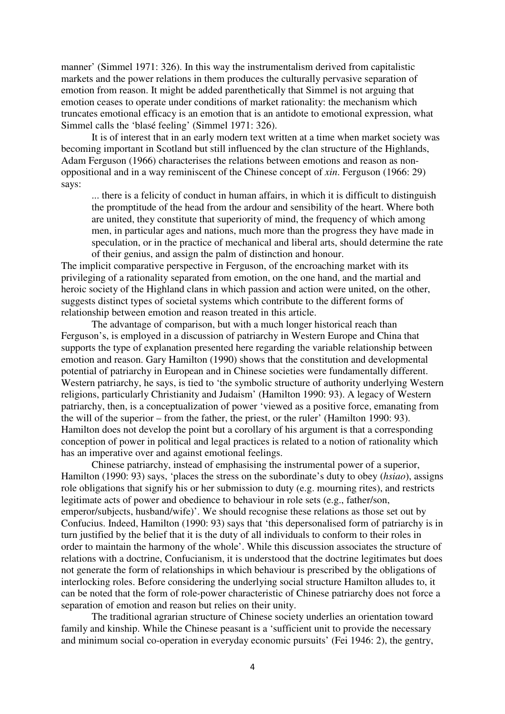manner' (Simmel 1971: 326). In this way the instrumentalism derived from capitalistic markets and the power relations in them produces the culturally pervasive separation of emotion from reason. It might be added parenthetically that Simmel is not arguing that emotion ceases to operate under conditions of market rationality: the mechanism which truncates emotional efficacy is an emotion that is an antidote to emotional expression, what Simmel calls the 'blasé feeling' (Simmel 1971: 326).

It is of interest that in an early modern text written at a time when market society was becoming important in Scotland but still influenced by the clan structure of the Highlands, Adam Ferguson (1966) characterises the relations between emotions and reason as nonoppositional and in a way reminiscent of the Chinese concept of *xin*. Ferguson (1966: 29) says:

... there is a felicity of conduct in human affairs, in which it is difficult to distinguish the promptitude of the head from the ardour and sensibility of the heart. Where both are united, they constitute that superiority of mind, the frequency of which among men, in particular ages and nations, much more than the progress they have made in speculation, or in the practice of mechanical and liberal arts, should determine the rate of their genius, and assign the palm of distinction and honour.

The implicit comparative perspective in Ferguson, of the encroaching market with its privileging of a rationality separated from emotion, on the one hand, and the martial and heroic society of the Highland clans in which passion and action were united, on the other, suggests distinct types of societal systems which contribute to the different forms of relationship between emotion and reason treated in this article.

The advantage of comparison, but with a much longer historical reach than Ferguson's, is employed in a discussion of patriarchy in Western Europe and China that supports the type of explanation presented here regarding the variable relationship between emotion and reason. Gary Hamilton (1990) shows that the constitution and developmental potential of patriarchy in European and in Chinese societies were fundamentally different. Western patriarchy, he says, is tied to 'the symbolic structure of authority underlying Western religions, particularly Christianity and Judaism' (Hamilton 1990: 93). A legacy of Western patriarchy, then, is a conceptualization of power 'viewed as a positive force, emanating from the will of the superior – from the father, the priest, or the ruler' (Hamilton 1990: 93). Hamilton does not develop the point but a corollary of his argument is that a corresponding conception of power in political and legal practices is related to a notion of rationality which has an imperative over and against emotional feelings.

Chinese patriarchy, instead of emphasising the instrumental power of a superior, Hamilton (1990: 93) says, 'places the stress on the subordinate's duty to obey (*hsiao*), assigns role obligations that signify his or her submission to duty (e.g. mourning rites), and restricts legitimate acts of power and obedience to behaviour in role sets (e.g., father/son, emperor/subjects, husband/wife)'. We should recognise these relations as those set out by Confucius. Indeed, Hamilton (1990: 93) says that 'this depersonalised form of patriarchy is in turn justified by the belief that it is the duty of all individuals to conform to their roles in order to maintain the harmony of the whole'. While this discussion associates the structure of relations with a doctrine, Confucianism, it is understood that the doctrine legitimates but does not generate the form of relationships in which behaviour is prescribed by the obligations of interlocking roles. Before considering the underlying social structure Hamilton alludes to, it can be noted that the form of role-power characteristic of Chinese patriarchy does not force a separation of emotion and reason but relies on their unity.

The traditional agrarian structure of Chinese society underlies an orientation toward family and kinship. While the Chinese peasant is a 'sufficient unit to provide the necessary and minimum social co-operation in everyday economic pursuits' (Fei 1946: 2), the gentry,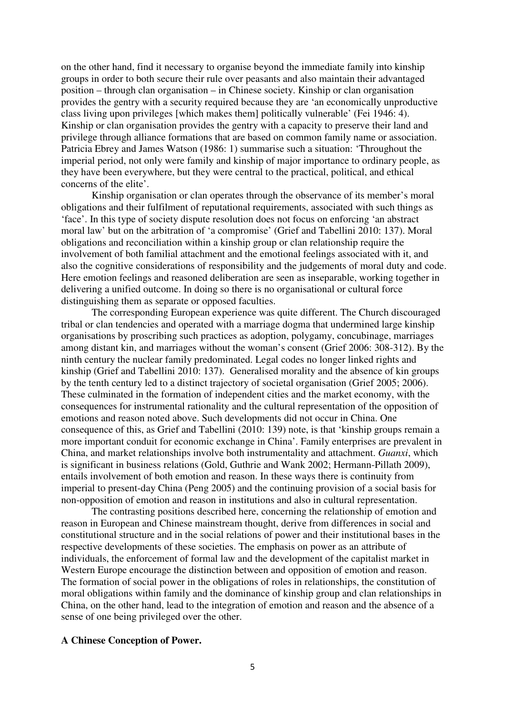on the other hand, find it necessary to organise beyond the immediate family into kinship groups in order to both secure their rule over peasants and also maintain their advantaged position – through clan organisation – in Chinese society. Kinship or clan organisation provides the gentry with a security required because they are 'an economically unproductive class living upon privileges [which makes them] politically vulnerable' (Fei 1946: 4). Kinship or clan organisation provides the gentry with a capacity to preserve their land and privilege through alliance formations that are based on common family name or association. Patricia Ebrey and James Watson (1986: 1) summarise such a situation: 'Throughout the imperial period, not only were family and kinship of major importance to ordinary people, as they have been everywhere, but they were central to the practical, political, and ethical concerns of the elite'.

Kinship organisation or clan operates through the observance of its member's moral obligations and their fulfilment of reputational requirements, associated with such things as 'face'. In this type of society dispute resolution does not focus on enforcing 'an abstract moral law' but on the arbitration of 'a compromise' (Grief and Tabellini 2010: 137). Moral obligations and reconciliation within a kinship group or clan relationship require the involvement of both familial attachment and the emotional feelings associated with it, and also the cognitive considerations of responsibility and the judgements of moral duty and code. Here emotion feelings and reasoned deliberation are seen as inseparable, working together in delivering a unified outcome. In doing so there is no organisational or cultural force distinguishing them as separate or opposed faculties.

The corresponding European experience was quite different. The Church discouraged tribal or clan tendencies and operated with a marriage dogma that undermined large kinship organisations by proscribing such practices as adoption, polygamy, concubinage, marriages among distant kin, and marriages without the woman's consent (Grief 2006: 308-312). By the ninth century the nuclear family predominated. Legal codes no longer linked rights and kinship (Grief and Tabellini 2010: 137). Generalised morality and the absence of kin groups by the tenth century led to a distinct trajectory of societal organisation (Grief 2005; 2006). These culminated in the formation of independent cities and the market economy, with the consequences for instrumental rationality and the cultural representation of the opposition of emotions and reason noted above. Such developments did not occur in China. One consequence of this, as Grief and Tabellini (2010: 139) note, is that 'kinship groups remain a more important conduit for economic exchange in China'. Family enterprises are prevalent in China, and market relationships involve both instrumentality and attachment. *Guanxi*, which is significant in business relations (Gold, Guthrie and Wank 2002; Hermann-Pillath 2009), entails involvement of both emotion and reason. In these ways there is continuity from imperial to present-day China (Peng 2005) and the continuing provision of a social basis for non-opposition of emotion and reason in institutions and also in cultural representation.

The contrasting positions described here, concerning the relationship of emotion and reason in European and Chinese mainstream thought, derive from differences in social and constitutional structure and in the social relations of power and their institutional bases in the respective developments of these societies. The emphasis on power as an attribute of individuals, the enforcement of formal law and the development of the capitalist market in Western Europe encourage the distinction between and opposition of emotion and reason. The formation of social power in the obligations of roles in relationships, the constitution of moral obligations within family and the dominance of kinship group and clan relationships in China, on the other hand, lead to the integration of emotion and reason and the absence of a sense of one being privileged over the other.

#### **A Chinese Conception of Power.**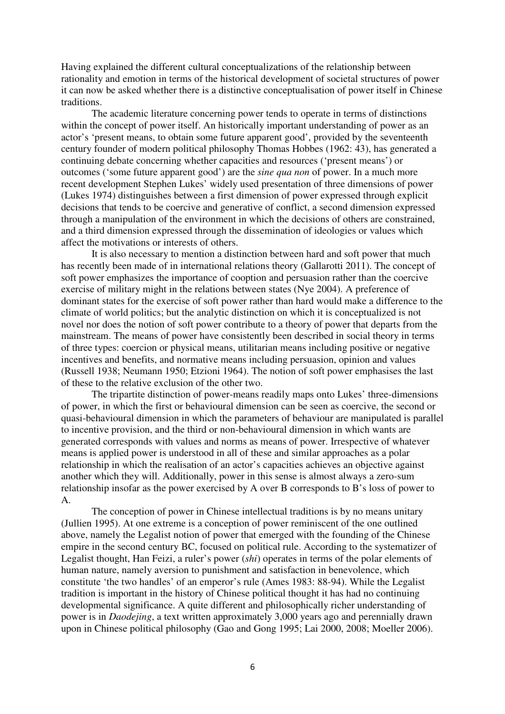Having explained the different cultural conceptualizations of the relationship between rationality and emotion in terms of the historical development of societal structures of power it can now be asked whether there is a distinctive conceptualisation of power itself in Chinese traditions.

The academic literature concerning power tends to operate in terms of distinctions within the concept of power itself. An historically important understanding of power as an actor's 'present means, to obtain some future apparent good', provided by the seventeenth century founder of modern political philosophy Thomas Hobbes (1962: 43), has generated a continuing debate concerning whether capacities and resources ('present means') or outcomes ('some future apparent good') are the *sine qua non* of power. In a much more recent development Stephen Lukes' widely used presentation of three dimensions of power (Lukes 1974) distinguishes between a first dimension of power expressed through explicit decisions that tends to be coercive and generative of conflict, a second dimension expressed through a manipulation of the environment in which the decisions of others are constrained, and a third dimension expressed through the dissemination of ideologies or values which affect the motivations or interests of others.

It is also necessary to mention a distinction between hard and soft power that much has recently been made of in international relations theory (Gallarotti 2011). The concept of soft power emphasizes the importance of cooption and persuasion rather than the coercive exercise of military might in the relations between states (Nye 2004). A preference of dominant states for the exercise of soft power rather than hard would make a difference to the climate of world politics; but the analytic distinction on which it is conceptualized is not novel nor does the notion of soft power contribute to a theory of power that departs from the mainstream. The means of power have consistently been described in social theory in terms of three types: coercion or physical means, utilitarian means including positive or negative incentives and benefits, and normative means including persuasion, opinion and values (Russell 1938; Neumann 1950; Etzioni 1964). The notion of soft power emphasises the last of these to the relative exclusion of the other two.

The tripartite distinction of power-means readily maps onto Lukes' three-dimensions of power, in which the first or behavioural dimension can be seen as coercive, the second or quasi-behavioural dimension in which the parameters of behaviour are manipulated is parallel to incentive provision, and the third or non-behavioural dimension in which wants are generated corresponds with values and norms as means of power. Irrespective of whatever means is applied power is understood in all of these and similar approaches as a polar relationship in which the realisation of an actor's capacities achieves an objective against another which they will. Additionally, power in this sense is almost always a zero-sum relationship insofar as the power exercised by A over B corresponds to B's loss of power to A.

The conception of power in Chinese intellectual traditions is by no means unitary (Jullien 1995). At one extreme is a conception of power reminiscent of the one outlined above, namely the Legalist notion of power that emerged with the founding of the Chinese empire in the second century BC, focused on political rule. According to the systematizer of Legalist thought, Han Feizi, a ruler's power (*shi*) operates in terms of the polar elements of human nature, namely aversion to punishment and satisfaction in benevolence, which constitute 'the two handles' of an emperor's rule (Ames 1983: 88-94). While the Legalist tradition is important in the history of Chinese political thought it has had no continuing developmental significance. A quite different and philosophically richer understanding of power is in *Daodejing*, a text written approximately 3,000 years ago and perennially drawn upon in Chinese political philosophy (Gao and Gong 1995; Lai 2000, 2008; Moeller 2006).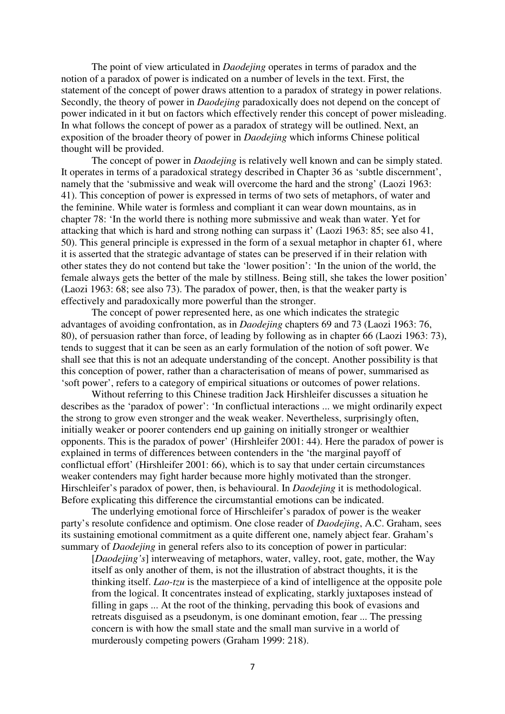The point of view articulated in *Daodejing* operates in terms of paradox and the notion of a paradox of power is indicated on a number of levels in the text. First, the statement of the concept of power draws attention to a paradox of strategy in power relations. Secondly, the theory of power in *Daodejing* paradoxically does not depend on the concept of power indicated in it but on factors which effectively render this concept of power misleading. In what follows the concept of power as a paradox of strategy will be outlined. Next, an exposition of the broader theory of power in *Daodejing* which informs Chinese political thought will be provided.

The concept of power in *Daodejing* is relatively well known and can be simply stated. It operates in terms of a paradoxical strategy described in Chapter 36 as 'subtle discernment', namely that the 'submissive and weak will overcome the hard and the strong' (Laozi 1963: 41). This conception of power is expressed in terms of two sets of metaphors, of water and the feminine. While water is formless and compliant it can wear down mountains, as in chapter 78: 'In the world there is nothing more submissive and weak than water. Yet for attacking that which is hard and strong nothing can surpass it' (Laozi 1963: 85; see also 41, 50). This general principle is expressed in the form of a sexual metaphor in chapter 61, where it is asserted that the strategic advantage of states can be preserved if in their relation with other states they do not contend but take the 'lower position': 'In the union of the world, the female always gets the better of the male by stillness. Being still, she takes the lower position' (Laozi 1963: 68; see also 73). The paradox of power, then, is that the weaker party is effectively and paradoxically more powerful than the stronger.

The concept of power represented here, as one which indicates the strategic advantages of avoiding confrontation, as in *Daodejing* chapters 69 and 73 (Laozi 1963: 76, 80), of persuasion rather than force, of leading by following as in chapter 66 (Laozi 1963: 73), tends to suggest that it can be seen as an early formulation of the notion of soft power. We shall see that this is not an adequate understanding of the concept. Another possibility is that this conception of power, rather than a characterisation of means of power, summarised as 'soft power', refers to a category of empirical situations or outcomes of power relations.

Without referring to this Chinese tradition Jack Hirshleifer discusses a situation he describes as the 'paradox of power': 'In conflictual interactions ... we might ordinarily expect the strong to grow even stronger and the weak weaker. Nevertheless, surprisingly often, initially weaker or poorer contenders end up gaining on initially stronger or wealthier opponents. This is the paradox of power' (Hirshleifer 2001: 44). Here the paradox of power is explained in terms of differences between contenders in the 'the marginal payoff of conflictual effort' (Hirshleifer 2001: 66), which is to say that under certain circumstances weaker contenders may fight harder because more highly motivated than the stronger. Hirschleifer's paradox of power, then, is behavioural. In *Daodejing* it is methodological. Before explicating this difference the circumstantial emotions can be indicated.

The underlying emotional force of Hirschleifer's paradox of power is the weaker party's resolute confidence and optimism. One close reader of *Daodejing*, A.C. Graham, sees its sustaining emotional commitment as a quite different one, namely abject fear. Graham's summary of *Daodejing* in general refers also to its conception of power in particular:

[*Daodejing's*] interweaving of metaphors, water, valley, root, gate, mother, the Way itself as only another of them, is not the illustration of abstract thoughts, it is the thinking itself. *Lao-tzu* is the masterpiece of a kind of intelligence at the opposite pole from the logical. It concentrates instead of explicating, starkly juxtaposes instead of filling in gaps ... At the root of the thinking, pervading this book of evasions and retreats disguised as a pseudonym, is one dominant emotion, fear ... The pressing concern is with how the small state and the small man survive in a world of murderously competing powers (Graham 1999: 218).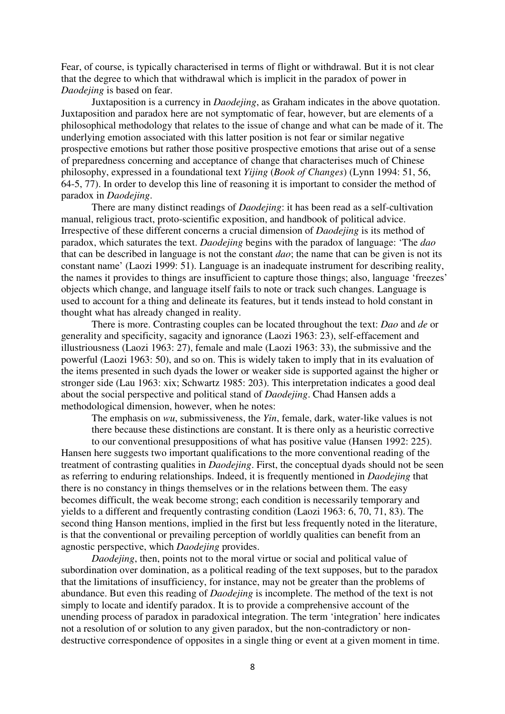Fear, of course, is typically characterised in terms of flight or withdrawal. But it is not clear that the degree to which that withdrawal which is implicit in the paradox of power in *Daodejing* is based on fear.

 Juxtaposition is a currency in *Daodejing*, as Graham indicates in the above quotation. Juxtaposition and paradox here are not symptomatic of fear, however, but are elements of a philosophical methodology that relates to the issue of change and what can be made of it. The underlying emotion associated with this latter position is not fear or similar negative prospective emotions but rather those positive prospective emotions that arise out of a sense of preparedness concerning and acceptance of change that characterises much of Chinese philosophy, expressed in a foundational text *Yijing* (*Book of Changes*) (Lynn 1994: 51, 56, 64-5, 77). In order to develop this line of reasoning it is important to consider the method of paradox in *Daodejing*.

There are many distinct readings of *Daodejing*: it has been read as a self-cultivation manual, religious tract, proto-scientific exposition, and handbook of political advice. Irrespective of these different concerns a crucial dimension of *Daodejing* is its method of paradox, which saturates the text. *Daodejing* begins with the paradox of language: 'The *dao* that can be described in language is not the constant *dao*; the name that can be given is not its constant name' (Laozi 1999: 51). Language is an inadequate instrument for describing reality, the names it provides to things are insufficient to capture those things; also, language 'freezes' objects which change, and language itself fails to note or track such changes. Language is used to account for a thing and delineate its features, but it tends instead to hold constant in thought what has already changed in reality.

 There is more. Contrasting couples can be located throughout the text: *Dao* and *de* or generality and specificity, sagacity and ignorance (Laozi 1963: 23), self-effacement and illustriousness (Laozi 1963: 27), female and male (Laozi 1963: 33), the submissive and the powerful (Laozi 1963: 50), and so on. This is widely taken to imply that in its evaluation of the items presented in such dyads the lower or weaker side is supported against the higher or stronger side (Lau 1963: xix; Schwartz 1985: 203). This interpretation indicates a good deal about the social perspective and political stand of *Daodejing*. Chad Hansen adds a methodological dimension, however, when he notes:

The emphasis on *wu*, submissiveness, the *Yin*, female, dark, water-like values is not there because these distinctions are constant. It is there only as a heuristic corrective

to our conventional presuppositions of what has positive value (Hansen 1992: 225). Hansen here suggests two important qualifications to the more conventional reading of the treatment of contrasting qualities in *Daodejing*. First, the conceptual dyads should not be seen as referring to enduring relationships. Indeed, it is frequently mentioned in *Daodejing* that there is no constancy in things themselves or in the relations between them. The easy becomes difficult, the weak become strong; each condition is necessarily temporary and yields to a different and frequently contrasting condition (Laozi 1963: 6, 70, 71, 83). The second thing Hanson mentions, implied in the first but less frequently noted in the literature, is that the conventional or prevailing perception of worldly qualities can benefit from an agnostic perspective, which *Daodejing* provides.

*Daodejing*, then, points not to the moral virtue or social and political value of subordination over domination, as a political reading of the text supposes, but to the paradox that the limitations of insufficiency, for instance, may not be greater than the problems of abundance. But even this reading of *Daodejing* is incomplete. The method of the text is not simply to locate and identify paradox. It is to provide a comprehensive account of the unending process of paradox in paradoxical integration. The term 'integration' here indicates not a resolution of or solution to any given paradox, but the non-contradictory or nondestructive correspondence of opposites in a single thing or event at a given moment in time.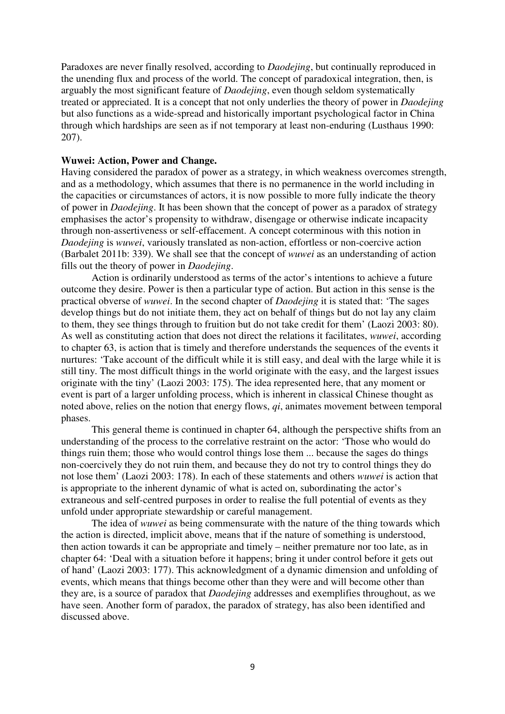Paradoxes are never finally resolved, according to *Daodejing*, but continually reproduced in the unending flux and process of the world. The concept of paradoxical integration, then, is arguably the most significant feature of *Daodejing*, even though seldom systematically treated or appreciated. It is a concept that not only underlies the theory of power in *Daodejing* but also functions as a wide-spread and historically important psychological factor in China through which hardships are seen as if not temporary at least non-enduring (Lusthaus 1990: 207).

#### **Wuwei: Action, Power and Change.**

Having considered the paradox of power as a strategy, in which weakness overcomes strength, and as a methodology, which assumes that there is no permanence in the world including in the capacities or circumstances of actors, it is now possible to more fully indicate the theory of power in *Daodejing*. It has been shown that the concept of power as a paradox of strategy emphasises the actor's propensity to withdraw, disengage or otherwise indicate incapacity through non-assertiveness or self-effacement. A concept coterminous with this notion in *Daodejing* is *wuwei*, variously translated as non-action, effortless or non-coercive action (Barbalet 2011b: 339). We shall see that the concept of *wuwei* as an understanding of action fills out the theory of power in *Daodejing*.

 Action is ordinarily understood as terms of the actor's intentions to achieve a future outcome they desire. Power is then a particular type of action. But action in this sense is the practical obverse of *wuwei*. In the second chapter of *Daodejing* it is stated that: 'The sages develop things but do not initiate them, they act on behalf of things but do not lay any claim to them, they see things through to fruition but do not take credit for them' (Laozi 2003: 80). As well as constituting action that does not direct the relations it facilitates, *wuwei*, according to chapter 63, is action that is timely and therefore understands the sequences of the events it nurtures: 'Take account of the difficult while it is still easy, and deal with the large while it is still tiny. The most difficult things in the world originate with the easy, and the largest issues originate with the tiny' (Laozi 2003: 175). The idea represented here, that any moment or event is part of a larger unfolding process, which is inherent in classical Chinese thought as noted above, relies on the notion that energy flows, *qi*, animates movement between temporal phases.

This general theme is continued in chapter 64, although the perspective shifts from an understanding of the process to the correlative restraint on the actor: 'Those who would do things ruin them; those who would control things lose them ... because the sages do things non-coercively they do not ruin them, and because they do not try to control things they do not lose them' (Laozi 2003: 178). In each of these statements and others *wuwei* is action that is appropriate to the inherent dynamic of what is acted on, subordinating the actor's extraneous and self-centred purposes in order to realise the full potential of events as they unfold under appropriate stewardship or careful management.

The idea of *wuwei* as being commensurate with the nature of the thing towards which the action is directed, implicit above, means that if the nature of something is understood, then action towards it can be appropriate and timely – neither premature nor too late, as in chapter 64: 'Deal with a situation before it happens; bring it under control before it gets out of hand' (Laozi 2003: 177). This acknowledgment of a dynamic dimension and unfolding of events, which means that things become other than they were and will become other than they are, is a source of paradox that *Daodejing* addresses and exemplifies throughout, as we have seen. Another form of paradox, the paradox of strategy, has also been identified and discussed above.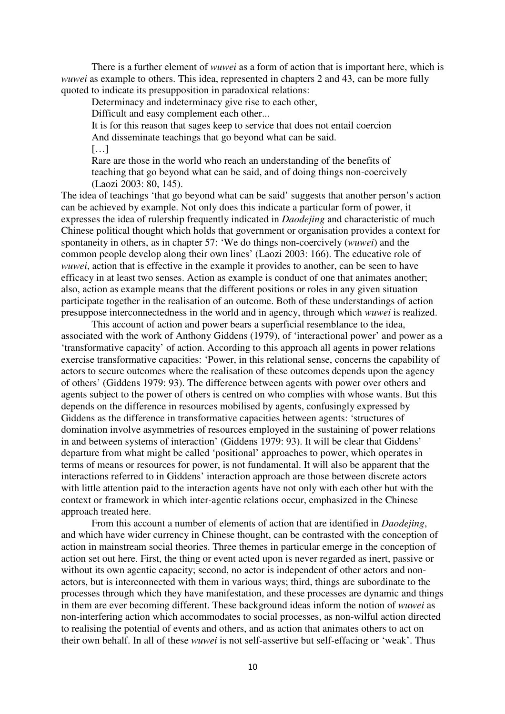There is a further element of *wuwei* as a form of action that is important here, which is *wuwei* as example to others. This idea, represented in chapters 2 and 43, can be more fully quoted to indicate its presupposition in paradoxical relations:

Determinacy and indeterminacy give rise to each other,

Difficult and easy complement each other...

It is for this reason that sages keep to service that does not entail coercion And disseminate teachings that go beyond what can be said.

 $[...]$ 

Rare are those in the world who reach an understanding of the benefits of teaching that go beyond what can be said, and of doing things non-coercively (Laozi 2003: 80, 145).

The idea of teachings 'that go beyond what can be said' suggests that another person's action can be achieved by example. Not only does this indicate a particular form of power, it expresses the idea of rulership frequently indicated in *Daodejing* and characteristic of much Chinese political thought which holds that government or organisation provides a context for spontaneity in others, as in chapter 57: 'We do things non-coercively (*wuwei*) and the common people develop along their own lines' (Laozi 2003: 166). The educative role of *wuwei*, action that is effective in the example it provides to another, can be seen to have efficacy in at least two senses. Action as example is conduct of one that animates another; also, action as example means that the different positions or roles in any given situation participate together in the realisation of an outcome. Both of these understandings of action presuppose interconnectedness in the world and in agency, through which *wuwei* is realized.

 This account of action and power bears a superficial resemblance to the idea, associated with the work of Anthony Giddens (1979), of 'interactional power' and power as a 'transformative capacity' of action. According to this approach all agents in power relations exercise transformative capacities: 'Power, in this relational sense, concerns the capability of actors to secure outcomes where the realisation of these outcomes depends upon the agency of others' (Giddens 1979: 93). The difference between agents with power over others and agents subject to the power of others is centred on who complies with whose wants. But this depends on the difference in resources mobilised by agents, confusingly expressed by Giddens as the difference in transformative capacities between agents: 'structures of domination involve asymmetries of resources employed in the sustaining of power relations in and between systems of interaction' (Giddens 1979: 93). It will be clear that Giddens' departure from what might be called 'positional' approaches to power, which operates in terms of means or resources for power, is not fundamental. It will also be apparent that the interactions referred to in Giddens' interaction approach are those between discrete actors with little attention paid to the interaction agents have not only with each other but with the context or framework in which inter-agentic relations occur, emphasized in the Chinese approach treated here.

From this account a number of elements of action that are identified in *Daodejing*, and which have wider currency in Chinese thought, can be contrasted with the conception of action in mainstream social theories. Three themes in particular emerge in the conception of action set out here. First, the thing or event acted upon is never regarded as inert, passive or without its own agentic capacity; second, no actor is independent of other actors and nonactors, but is interconnected with them in various ways; third, things are subordinate to the processes through which they have manifestation, and these processes are dynamic and things in them are ever becoming different. These background ideas inform the notion of *wuwei* as non-interfering action which accommodates to social processes, as non-wilful action directed to realising the potential of events and others, and as action that animates others to act on their own behalf. In all of these *wuwei* is not self-assertive but self-effacing or 'weak'. Thus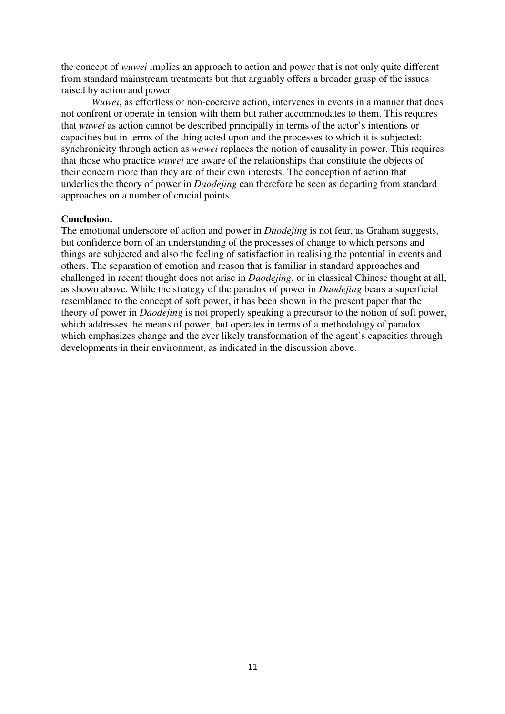the concept of *wuwei* implies an approach to action and power that is not only quite different from standard mainstream treatments but that arguably offers a broader grasp of the issues raised by action and power.

*Wuwei*, as effortless or non-coercive action, intervenes in events in a manner that does not confront or operate in tension with them but rather accommodates to them. This requires that *wuwei* as action cannot be described principally in terms of the actor's intentions or capacities but in terms of the thing acted upon and the processes to which it is subjected: synchronicity through action as *wuwei* replaces the notion of causality in power. This requires that those who practice *wuwei* are aware of the relationships that constitute the objects of their concern more than they are of their own interests. The conception of action that underlies the theory of power in *Daodejing* can therefore be seen as departing from standard approaches on a number of crucial points.

## **Conclusion.**

The emotional underscore of action and power in *Daodejing* is not fear, as Graham suggests, but confidence born of an understanding of the processes of change to which persons and things are subjected and also the feeling of satisfaction in realising the potential in events and others. The separation of emotion and reason that is familiar in standard approaches and challenged in recent thought does not arise in *Daodejing*, or in classical Chinese thought at all, as shown above. While the strategy of the paradox of power in *Daodejing* bears a superficial resemblance to the concept of soft power, it has been shown in the present paper that the theory of power in *Daodejing* is not properly speaking a precursor to the notion of soft power, which addresses the means of power, but operates in terms of a methodology of paradox which emphasizes change and the ever likely transformation of the agent's capacities through developments in their environment, as indicated in the discussion above.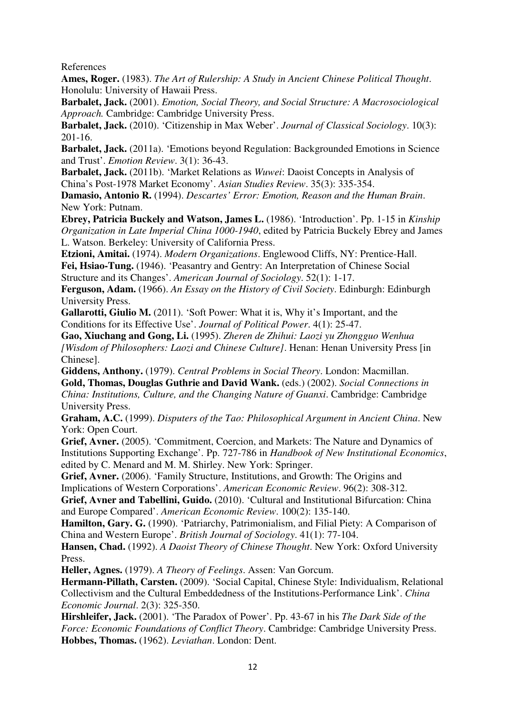References

**Ames, Roger.** (1983). *The Art of Rulership: A Study in Ancient Chinese Political Thought*. Honolulu: University of Hawaii Press.

**Barbalet, Jack.** (2001). *Emotion, Social Theory, and Social Structure: A Macrosociological Approach.* Cambridge: Cambridge University Press.

**Barbalet, Jack.** (2010). 'Citizenship in Max Weber'. *Journal of Classical Sociology*. 10(3): 201-16.

**Barbalet, Jack.** (2011a). 'Emotions beyond Regulation: Backgrounded Emotions in Science and Trust'. *Emotion Review*. 3(1): 36-43.

**Barbalet, Jack.** (2011b). 'Market Relations as *Wuwei*: Daoist Concepts in Analysis of China's Post-1978 Market Economy'. *Asian Studies Review*. 35(3): 335-354.

**Damasio, Antonio R.** (1994). *Descartes' Error: Emotion, Reason and the Human Brain*. New York: Putnam.

**Ebrey, Patricia Buckely and Watson, James L.** (1986). 'Introduction'. Pp. 1-15 in *Kinship Organization in Late Imperial China 1000-1940*, edited by Patricia Buckely Ebrey and James L. Watson. Berkeley: University of California Press.

**Etzioni, Amitai.** (1974). *Modern Organizations*. Englewood Cliffs, NY: Prentice-Hall. **Fei, Hsiao-Tung.** (1946). 'Peasantry and Gentry: An Interpretation of Chinese Social

Structure and its Changes'. *American Journal of Sociology*. 52(1): 1-17.

**Ferguson, Adam.** (1966). *An Essay on the History of Civil Society*. Edinburgh: Edinburgh University Press.

**Gallarotti, Giulio M.** (2011). 'Soft Power: What it is, Why it's Important, and the Conditions for its Effective Use'. *Journal of Political Power*. 4(1): 25-47.

**Gao, Xiuchang and Gong, Li.** (1995). *Zheren de Zhihui: Laozi yu Zhongguo Wenhua [Wisdom of Philosophers: Laozi and Chinese Culture]*. Henan: Henan University Press [in Chinese].

**Giddens, Anthony.** (1979). *Central Problems in Social Theory*. London: Macmillan. **Gold, Thomas, Douglas Guthrie and David Wank.** (eds.) (2002). *Social Connections in China: Institutions, Culture, and the Changing Nature of Guanxi*. Cambridge: Cambridge University Press.

**Graham, A.C.** (1999). *Disputers of the Tao: Philosophical Argument in Ancient China*. New York: Open Court.

**Grief, Avner.** (2005). 'Commitment, Coercion, and Markets: The Nature and Dynamics of Institutions Supporting Exchange'. Pp. 727-786 in *Handbook of New Institutional Economics*, edited by C. Menard and M. M. Shirley. New York: Springer.

**Grief, Avner.** (2006). 'Family Structure, Institutions, and Growth: The Origins and Implications of Western Corporations'. *American Economic Review*. 96(2): 308-312.

**Grief, Avner and Tabellini, Guido.** (2010). 'Cultural and Institutional Bifurcation: China and Europe Compared'. *American Economic Review*. 100(2): 135-140.

**Hamilton, Gary. G.** (1990). 'Patriarchy, Patrimonialism, and Filial Piety: A Comparison of China and Western Europe'. *British Journal of Sociology*. 41(1): 77-104.

**Hansen, Chad.** (1992). *A Daoist Theory of Chinese Thought*. New York: Oxford University Press.

**Heller, Agnes.** (1979). *A Theory of Feelings*. Assen: Van Gorcum.

**Hermann-Pillath, Carsten.** (2009). 'Social Capital, Chinese Style: Individualism, Relational Collectivism and the Cultural Embeddedness of the Institutions-Performance Link'. *China Economic Journal*. 2(3): 325-350.

**Hirshleifer, Jack.** (2001). 'The Paradox of Power'. Pp. 43-67 in his *The Dark Side of the Force: Economic Foundations of Conflict Theory*. Cambridge: Cambridge University Press. **Hobbes, Thomas.** (1962). *Leviathan*. London: Dent.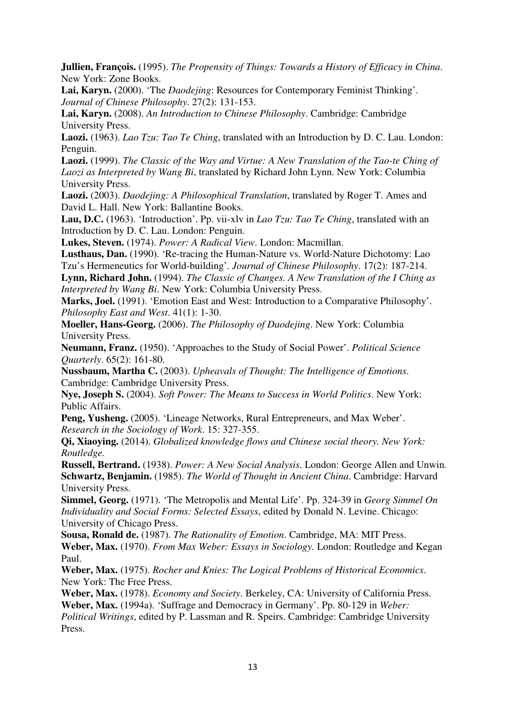**Jullien, François.** (1995). *The Propensity of Things: Towards a History of Efficacy in China*. New York: Zone Books.

**Lai, Karyn.** (2000). 'The *Daodejing*: Resources for Contemporary Feminist Thinking'. *Journal of Chinese Philosophy*. 27(2): 131-153.

**Lai, Karyn.** (2008). *An Introduction to Chinese Philosophy*. Cambridge: Cambridge University Press.

**Laozi.** (1963). *Lao Tzu: Tao Te Ching*, translated with an Introduction by D. C. Lau. London: Penguin.

**Laozi.** (1999). *The Classic of the Way and Virtue: A New Translation of the Tao-te Ching of Laozi as Interpreted by Wang Bi*, translated by Richard John Lynn. New York: Columbia University Press.

**Laozi.** (2003). *Daodejing: A Philosophical Translation*, translated by Roger T. Ames and David L. Hall. New York: Ballantine Books.

**Lau, D.C.** (1963). 'Introduction'. Pp. vii-xlv in *Lao Tzu: Tao Te Ching*, translated with an Introduction by D. C. Lau. London: Penguin.

**Lukes, Steven.** (1974). *Power: A Radical View*. London: Macmillan.

**Lusthaus, Dan.** (1990). 'Re-tracing the Human-Nature vs. World-Nature Dichotomy: Lao Tzu's Hermeneutics for World-building'. *Journal of Chinese Philosophy*. 17(2): 187-214.

**Lynn, Richard John.** (1994). *The Classic of Changes. A New Translation of the I Ching as Interpreted by Wang Bi*. New York: Columbia University Press.

**Marks, Joel.** (1991). 'Emotion East and West: Introduction to a Comparative Philosophy'. *Philosophy East and West*. 41(1): 1-30.

**Moeller, Hans-Georg.** (2006). *The Philosophy of Daodejing*. New York: Columbia University Press.

**Neumann, Franz.** (1950). 'Approaches to the Study of Social Power'. *Political Science Quarterly*. 65(2): 161-80.

**Nussbaum, Martha C.** (2003). *Upheavals of Thought: The Intelligence of Emotions*. Cambridge: Cambridge University Press.

**Nye, Joseph S.** (2004). *Soft Power: The Means to Success in World Politics*. New York: Public Affairs.

**Peng, Yusheng.** (2005). 'Lineage Networks, Rural Entrepreneurs, and Max Weber'. *Research in the Sociology of Work*. 15: 327-355.

**Qi, Xiaoying.** (2014). *Globalized knowledge flows and Chinese social theory. New York: Routledge.*

**Russell, Bertrand.** (1938). *Power: A New Social Analysis*. London: George Allen and Unwin. **Schwartz, Benjamin.** (1985). *The World of Thought in Ancient China*. Cambridge: Harvard University Press.

**Simmel, Georg.** (1971). 'The Metropolis and Mental Life'. Pp. 324-39 in *Georg Simmel On Individuality and Social Forms: Selected Essays*, edited by Donald N. Levine. Chicago: University of Chicago Press.

**Sousa, Ronald de.** (1987). *The Rationality of Emotion*. Cambridge, MA: MIT Press. **Weber, Max.** (1970). *From Max Weber: Essays in Sociology.* London: Routledge and Kegan Paul.

**Weber, Max.** (1975). *Rocher and Knies: The Logical Problems of Historical Economics*. New York: The Free Press.

**Weber, Max.** (1978). *Economy and Society*. Berkeley, CA: University of California Press. **Weber, Max.** (1994a). 'Suffrage and Democracy in Germany'. Pp. 80-129 in *Weber: Political Writings*, edited by P. Lassman and R. Speirs. Cambridge: Cambridge University

Press.